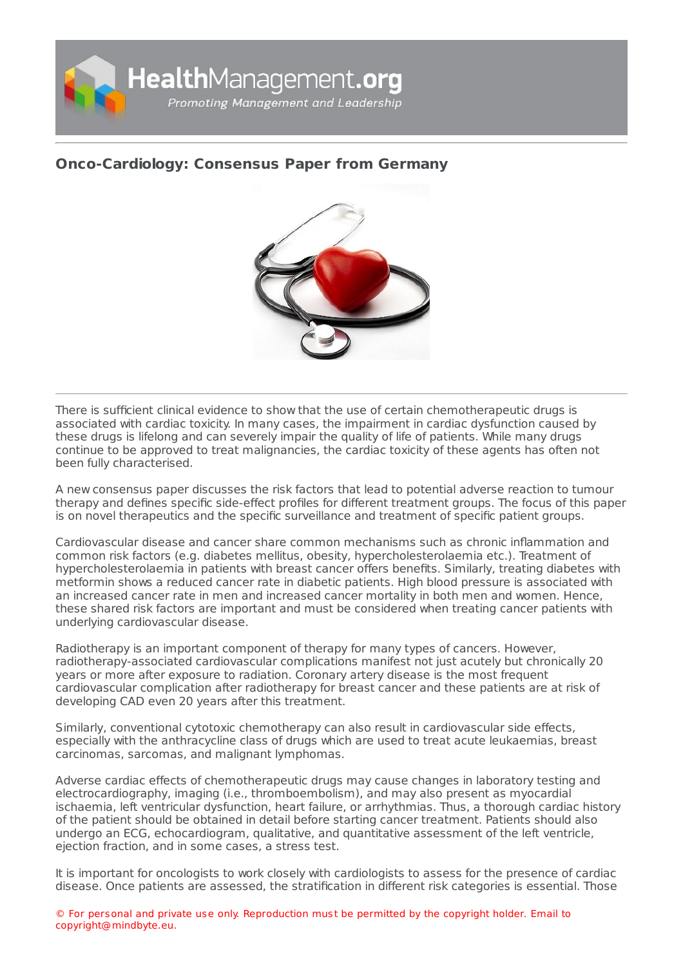

## **[Onco-Cardiology:](https://healthmanagement.org/s/onco-cardiology-consensus-paper-from-germany) Consensus Paper from Germany**



There is sufficient clinical evidence to show that the use of certain chemotherapeutic drugs is associated with cardiac toxicity. In many cases, the impairment in cardiac dysfunction caused by these drugs is lifelong and can severely impair the quality of life of patients. While many drugs continue to be approved to treat malignancies, the cardiac toxicity of these agents has often not been fully characterised.

A new consensus paper discusses the risk factors that lead to potential adverse reaction to tumour therapy and defines specific side-effect profiles for different treatment groups. The focus of this paper is on novel therapeutics and the specific surveillance and treatment of specific patient groups.

Cardiovascular disease and cancer share common mechanisms such as chronic inflammation and common risk factors (e.g. diabetes mellitus, obesity, hypercholesterolaemia etc.). Treatment of hypercholesterolaemia in patients with breast cancer offers benefits. Similarly, treating diabetes with metformin shows a reduced cancer rate in diabetic patients. High blood pressure is associated with an increased cancer rate in men and increased cancer mortality in both men and women. Hence, these shared risk factors are important and must be considered when treating cancer patients with underlying cardiovascular disease.

Radiotherapy is an important component of therapy for many types of cancers. However, radiotherapy-associated cardiovascular complications manifest not just acutely but chronically 20 years or more after exposure to radiation. Coronary artery disease is the most frequent cardiovascular complication after radiotherapy for breast cancer and these patients are at risk of developing CAD even 20 years after this treatment.

Similarly, conventional cytotoxic chemotherapy can also result in cardiovascular side effects, especially with the anthracycline class of drugs which are used to treat acute leukaemias, breast carcinomas, sarcomas, and malignant lymphomas.

Adverse cardiac effects of chemotherapeutic drugs may cause changes in laboratory testing and electrocardiography, imaging (i.e., thromboembolism), and may also present as myocardial ischaemia, left ventricular dysfunction, heart failure, or arrhythmias. Thus, a thorough cardiac history of the patient should be obtained in detail before starting cancer treatment. Patients should also undergo an ECG, echocardiogram, qualitative, and quantitative assessment of the left ventricle, ejection fraction, and in some cases, a stress test.

It is important for oncologists to work closely with cardiologists to assess for the presence of cardiac disease. Once patients are assessed, the stratification in different risk categories is essential. Those

© For personal and private use only. Reproduction must be permitted by the copyright holder. Email to copyright@mindbyte.eu.